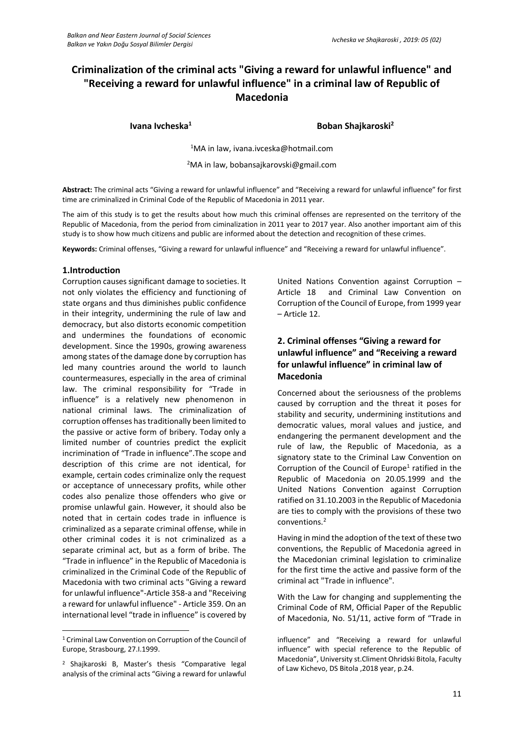# **Criminalization of the criminal acts "Giving a reward for unlawful influence" and "Receiving a reward for unlawful influence" in a criminal law of Republic of Macedonia**

**Ivana Ivcheska<sup>1</sup> Boban Shajkaroski<sup>2</sup>**

<sup>1</sup>MA in law, [ivana.ivceska@hotmail.com](mailto:ivana.ivceska@hotmail.com)

<sup>2</sup>MA in law, bobansajkarovski@gmail.com

**Abstract:** The criminal acts "Giving a reward for unlawful influence" and "Receiving a reward for unlawful influence" for first time are criminalized in Criminal Code of the Republic of Macedonia in 2011 year.

The aim of this study is to get the results about how much this criminal offenses are represented on the territory of the Republic of Macedonia, from the period from ciminalization in 2011 year to 2017 year. Also another important aim of this study is to show how much citizens and public are informed about the detection and recognition of these crimes.

**Keywords:** Criminal offenses, "Giving a reward for unlawful influence" and "Receiving a reward for unlawful influence".

#### **1.Introduction**

Corruption causes significant damage to societies. It not only violates the efficiency and functioning of state organs and thus diminishes public confidence in their integrity, undermining the rule of law and democracy, but also distorts economic competition and undermines the foundations of economic development. Since the 1990s, growing awareness among states of the damage done by corruption has led many countries around the world to launch countermeasures, especially in the area of criminal law. The criminal responsibility for "Trade in influence" is a relatively new phenomenon in national criminal laws. The criminalization of corruption offenses has traditionally been limited to the passive or active form of bribery. Today only a limited number of countries predict the explicit incrimination of "Trade in influence".The scope and description of this crime are not identical, for example, certain codes criminalize only the request or acceptance of unnecessary profits, while other codes also penalize those offenders who give or promise unlawful gain. However, it should also be noted that in certain codes trade in influence is criminalized as a separate criminal offense, while in other criminal codes it is not criminalized as a separate criminal act, but as a form of bribe. The "Trade in influence" in the Republic of Macedonia is criminalized in the Criminal Code of the Republic of Macedonia with two criminal acts "Giving a reward for unlawful influence"-Article 358-a and "Receiving a reward for unlawful influence" - Article 359. On an international level "trade in influence" is covered by

 $\overline{a}$ <sup>1</sup> Criminal Law Convention on Corruption of the Council of Europe, Strasbourg, 27.I.1999.

United Nations Convention against Corruption – Article 18 and Criminal Law Convention on Corruption of the Council of Europe, from 1999 year – Article 12.

## **2. Criminal offenses "Giving a reward for unlawful influence" and "Receiving a reward for unlawful influence" in criminal law of Macedonia**

Concerned about the seriousness of the problems caused by corruption and the threat it poses for stability and security, undermining institutions and democratic values, moral values and justice, and endangering the permanent development and the rule of law, the Republic of Macedonia, as a signatory state to the Criminal Law Convention on Corruption of the Council of Europe<sup>1</sup> ratified in the Republic of Macedonia on 20.05.1999 and the United Nations Convention against Corruption ratified on 31.10.2003 in the Republic of Macedonia are ties to comply with the provisions of these two conventions.<sup>2</sup>

Having in mind the adoption of the text of these two conventions, the Republic of Macedonia agreed in the Macedonian criminal legislation to criminalize for the first time the active and passive form of the criminal act "Trade in influence".

With the Law for changing and supplementing the Criminal Code of RM, Official Paper of the Republic of Macedonia, No. 51/11, active form of "Trade in

<sup>2</sup> Shajkaroski B, Master's thesis "Comparative legal analysis of the criminal acts "Giving a reward for unlawful

influence" and "Receiving a reward for unlawful influence" with special reference to the Republic of Macedonia", University st.Climent Ohridski Bitola, Faculty of Law Kichevo, DS Bitola ,2018 year, p.24.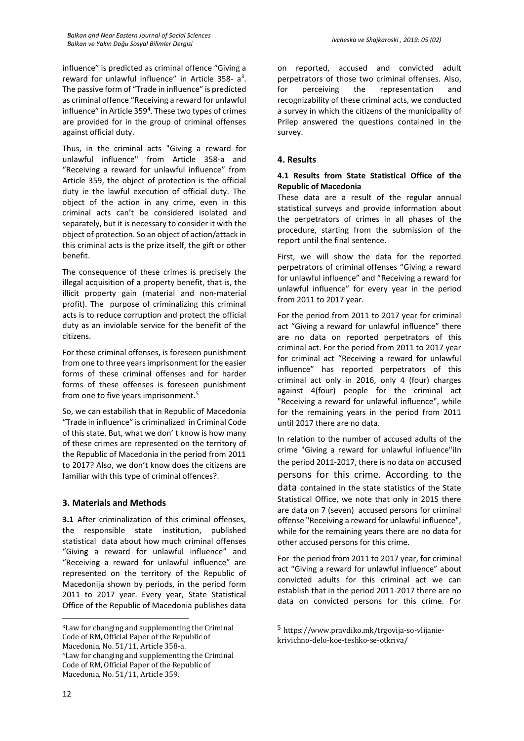influence" is predicted as criminal offence "Giving a reward for unlawful influence" in Article 358- a<sup>3</sup>. The passive form of "Trade in influence" is predicted as criminal offence "Receiving a reward for unlawful influence" in Article 359<sup>4</sup>. These two types of crimes are provided for in the group of criminal offenses against official duty.

Thus, in the criminal acts "Giving a reward for unlawful influence" from Article 358-a and "Receiving a reward for unlawful influence" from Article 359, the object of protection is the official duty ie the lawful execution of official duty. The object of the action in any crime, even in this criminal acts can't be considered isolated and separately, but it is necessary to consider it with the object of protection. So an object of action/attack in this criminal acts is the prize itself, the gift or other benefit.

The consequence of these crimes is precisely the illegal acquisition of a property benefit, that is, the illicit property gain (material and non-material profit). The purpose of criminalizing this criminal acts is to reduce corruption and protect the official duty as an inviolable service for the benefit of the citizens.

For these criminal offenses, is foreseen punishment from one to three years imprisonment for the easier forms of these criminal offenses and for harder forms of these offenses is foreseen punishment from one to five years imprisonment.<sup>5</sup>

So, we can estabilish that in Republic of Macedonia "Trade in influence" is criminalized in Criminal Code of this state. But, what we don' t know is how many of these crimes are represented on the territory of the Republic of Macedonia in the period from 2011 to 2017? Also, we don't know does the citizens are familiar with this type of criminal offences?.

#### **3. Materials and Methods**

**3.1** After criminalization of this criminal offenses, the responsible state institution, published statistical data about how much criminal offenses "Giving a reward for unlawful influence" and "Receiving a reward for unlawful influence" are represented on the territory of the Republic of Macedonija shown by periods, in the period form 2011 to 2017 year. Every year, State Statistical Office of the Republic of Macedonia publishes data

on reported, accused and convicted adult perpetrators of those two criminal offenses. Also, for perceiving the representation and recognizability of these criminal acts, we conducted a survey in which the citizens of the municipality of Prilep answered the questions contained in the survey.

#### **4. Results**

## **4.1 Results from State Statistical Office of the Republic of Macedonia**

These data are a result of the regular annual statistical surveys and provide information about the perpetrators of crimes in all phases of the procedure, starting from the submission of the report until the final sentence.

First, we will show the data for the reported perpetrators of criminal offenses "Giving a reward for unlawful influence" and "Receiving a reward for unlawful influence" for every year in the period from 2011 to 2017 year.

For the period from 2011 to 2017 year for criminal act "Giving a reward for unlawful influence" there are no data on reported perpetrators of this criminal act. For the period from 2011 to 2017 year for criminal act "Receiving a reward for unlawful influence" has reported perpetrators of this criminal act only in 2016, only 4 (four) charges against 4(four) people for the criminal act "Receiving a reward for unlawful influence", while for the remaining years in the period from 2011 until 2017 there are no data.

In relation to the number of accused adults of the crime "Giving a reward for unlawful influence"iIn the period 2011-2017, there is no data on accused persons for this crime. According to the data contained in the state statistics of the State Statistical Office, we note that only in 2015 there are data on 7 (seven) accused persons for criminal offense "Receiving a reward for unlawful influence", while for the remaining years there are no data for other accused persons for this crime.

For the period from 2011 to 2017 year, for criminal act "Giving a reward for unlawful influence" about convicted adults for this criminal act we can establish that in the period 2011-2017 there are no data on convicted persons for this crime. For

 $\overline{a}$ 

<sup>3</sup>Law for changing and supplementing the Criminal Code of RM, Official Paper of the Republic of Macedonia, No. 51/11, Article 358-a. <sup>4</sup>Law for changing and supplementing the Criminal

Code of RM, Official Paper of the Republic of Macedonia, No. 51/11, Article 359.

<sup>5</sup> https://www.pravdiko.mk/trgovija-so-vlijaniekrivichno-delo-koe-teshko-se-otkriva/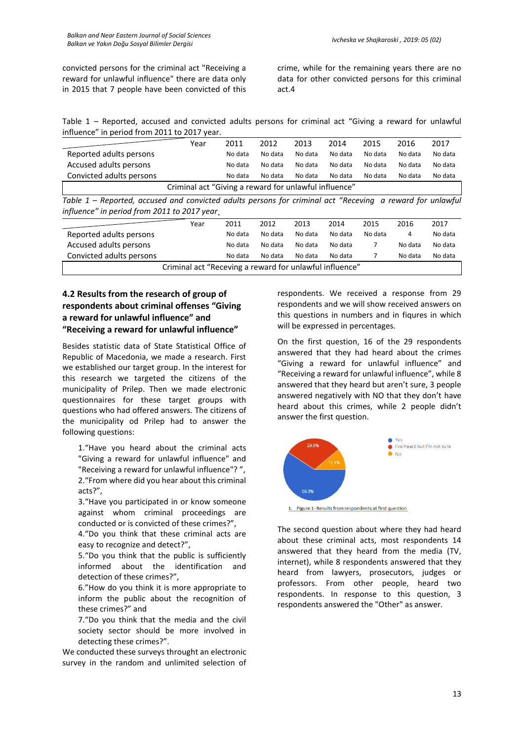convicted persons for the criminal act "Receiving a reward for unlawful influence" there are data only in 2015 that 7 people have been convicted of this crime, while for the remaining years there are no data for other convicted persons for this criminal act.4

Table 1 – Reported, accused and convicted adults persons for criminal act "Giving a reward for unlawful influence" in period from 2011 to 2017 year.

|                                                                                                                                                          | Year | 2011    | 2012    | 2013    | 2014    | 2015    | 2016    | 2017    |  |  |  |
|----------------------------------------------------------------------------------------------------------------------------------------------------------|------|---------|---------|---------|---------|---------|---------|---------|--|--|--|
| Reported adults persons                                                                                                                                  |      | No data | No data | No data | No data | No data | No data | No data |  |  |  |
| Accused adults persons                                                                                                                                   |      | No data | No data | No data | No data | No data | No data | No data |  |  |  |
| Convicted adults persons                                                                                                                                 |      | No data | No data | No data | No data | No data | No data | No data |  |  |  |
| Criminal act "Giving a reward for unlawful influence"                                                                                                    |      |         |         |         |         |         |         |         |  |  |  |
| Table 1 – Reported, accused and convicted adults persons for criminal act "Receving a reward for unlawful<br>influence" in period from 2011 to 2017 year |      |         |         |         |         |         |         |         |  |  |  |
|                                                                                                                                                          |      |         |         |         |         |         |         |         |  |  |  |

|                                                         | Year | 2011    | 2012    | 2013    | 2014    | 2015    | 2016    | 2017    |  |  |
|---------------------------------------------------------|------|---------|---------|---------|---------|---------|---------|---------|--|--|
| Reported adults persons                                 |      | No data | No data | No data | No data | No data |         | No data |  |  |
| Accused adults persons                                  |      | No data | No data | No data | No data |         | No data | No data |  |  |
| Convicted adults persons                                |      | No data | No data | No data | No data |         | No data | No data |  |  |
| Criminal act "Receving a reward for unlawful influence" |      |         |         |         |         |         |         |         |  |  |

# **4.2 Results from the research of group of respondents about criminal offenses "Giving a reward for unlawful influence" and "Receiving a reward for unlawful influence"**

Besides statistic data of State Statistical Office of Republic of Macedonia, we made a research. First we established our target group. In the interest for this research we targeted the citizens of the municipality of Prilep. Then we made electronic questionnaires for these target groups with questions who had offered answers. The citizens of the municipality od Prilep had to answer the following questions:

1."Have you heard about the criminal acts "Giving a reward for unlawful influence" and "Receiving a reward for unlawful influence"? ", 2."From where did you hear about this criminal acts?",

3."Have you participated in or know someone against whom criminal proceedings are conducted or is convicted of these crimes?",

4."Do you think that these criminal acts are easy to recognize and detect?",

5."Do you think that the public is sufficiently informed about the identification and detection of these crimes?",

6."How do you think it is more appropriate to inform the public about the recognition of these crimes?" and

7."Do you think that the media and the civil society sector should be more involved in detecting these crimes?".

We conducted these surveys throught an electronic survey in the random and unlimited selection of respondents. We received a response from 29 respondents and we will show received answers on this questions in numbers and in fiqures in which will be expressed in percentages.

On the first question, 16 of the 29 respondents answered that they had heard about the crimes "Giving a reward for unlawful influence" and "Receiving a reward for unlawful influence", while 8 answered that they heard but aren't sure, 3 people answered negatively with NO that they don't have heard about this crimes, while 2 people didn't answer the first question.



1. Figure 1- Results from respondents at first question

The second question about where they had heard about these criminal acts, most respondents 14 answered that they heard from the media (TV, internet), while 8 respondents answered that they heard from lawyers, prosecutors, judges or professors. From other people, heard two respondents. In response to this question, 3 respondents answered the "Other" as answer.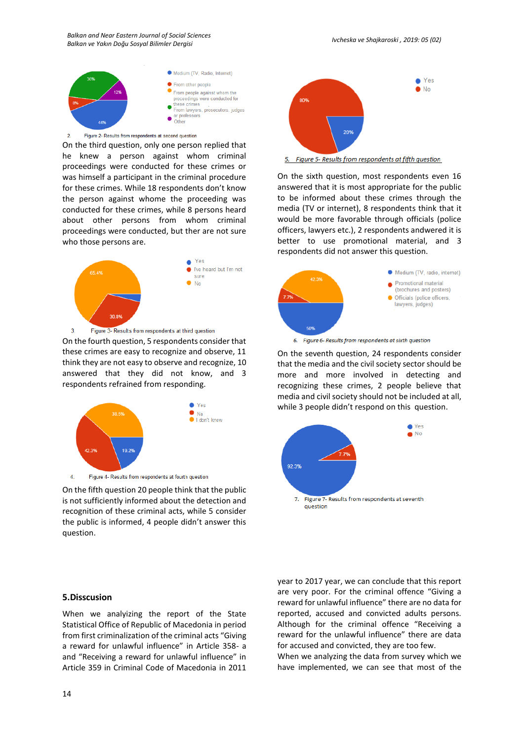*Balkan and Near Eastern Journal of Social Sciences Balkan ve Yakın Doğu Sosyal Bilimler Dergisi Ivcheska ve Shajkaroski , 2019: 05 (02)*



Figure 2- Results from respondents at second question  $\overline{2}$ 

On the third question, only one person replied that he knew a person against whom criminal proceedings were conducted for these crimes or was himself a participant in the criminal procedure for these crimes. While 18 respondents don't know the person against whome the proceeding was conducted for these crimes, while 8 persons heard about other persons from whom criminal proceedings were conducted, but ther are not sure who those persons are.



On the fourth question, 5 respondents consider that these crimes are easy to recognize and observe, 11 think they are not easy to observe and recognize, 10 answered that they did not know, and 3 respondents refrained from responding.



On the fifth question 20 people think that the public is not sufficiently informed about the detection and recognition of these criminal acts, while 5 consider the public is informed, 4 people didn't answer this question.



When we analyizing the report of the State Statistical Office of Republic of Macedonia in period from first criminalization of the criminal acts "Giving a reward for unlawful influence" in Article 358- a and "Receiving a reward for unlawful influence" in Article 359 in Criminal Code of Macedonia in 2011



5. Figure 5- Results from respondents at fifth question

On the sixth question, most respondents even 16 answered that it is most appropriate for the public to be informed about these crimes through the media (TV or internet), 8 respondents think that it would be more favorable through officials (police officers, lawyers etc.), 2 respondents andwered it is better to use promotional material, and 3 respondents did not answer this question.



6. Figure 6- Results from respondents at sixth question

On the seventh question, 24 respondents consider that the media and the civil society sector should be more and more involved in detecting and recognizing these crimes, 2 people believe that media and civil society should not be included at all, while 3 people didn't respond on this question.



year to 2017 year, we can conclude that this report are very poor. For the criminal offence "Giving a reward for unlawful influence" there are no data for reported, accused and convicted adults persons. Although for the criminal offence "Receiving a reward for the unlawful influence" there are data for accused and convicted, they are too few.

When we analyzing the data from survey which we have implemented, we can see that most of the